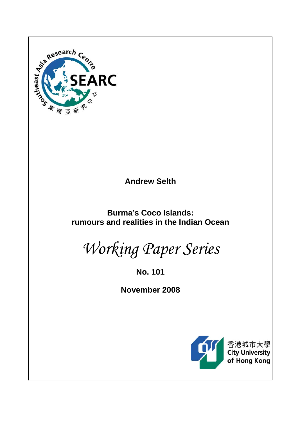

**Andrew Selth** 

**Burma's Coco Islands: rumours and realities in the Indian Ocean** 

*Working Paper Series* 

**No. 101** 

**November 2008** 



香港城市大學<br>City University of Hong Kong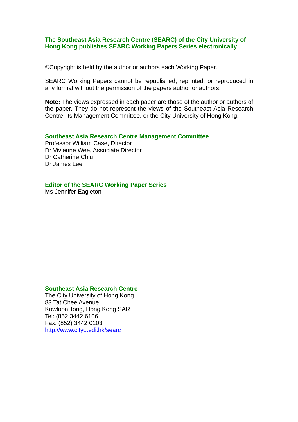### **The Southeast Asia Research Centre (SEARC) of the City University of Hong Kong publishes SEARC Working Papers Series electronically**

©Copyright is held by the author or authors each Working Paper.

SEARC Working Papers cannot be republished, reprinted, or reproduced in any format without the permission of the papers author or authors.

**Note:** The views expressed in each paper are those of the author or authors of the paper. They do not represent the views of the Southeast Asia Research Centre, its Management Committee, or the City University of Hong Kong.

#### **Southeast Asia Research Centre Management Committee**

Professor William Case, Director Dr Vivienne Wee, Associate Director Dr Catherine Chiu Dr James Lee

### **Editor of the SEARC Working Paper Series**

Ms Jennifer Eagleton

## **Southeast Asia Research Centre**

The City University of Hong Kong 83 Tat Chee Avenue Kowloon Tong, Hong Kong SAR Tel: (852 3442 6106 Fax: (852) 3442 0103 http://www.cityu.edi.hk/searc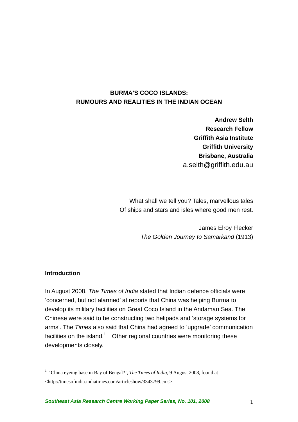# **BURMA'S COCO ISLANDS: RUMOURS AND REALITIES IN THE INDIAN OCEAN**

**Andrew Selth Research Fellow Griffith Asia Institute Griffith University Brisbane, Australia** a.selth@griffith.edu.au

What shall we tell you? Tales, marvellous tales Of ships and stars and isles where good men rest.

> James Elroy Flecker *The Golden Journey to Samarkand* (1913)

### **Introduction**

 $\overline{a}$ 

In August 2008, *The Times of India* stated that Indian defence officials were 'concerned, but not alarmed' at reports that China was helping Burma to develop its military facilities on Great Coco Island in the Andaman Sea. The Chinese were said to be constructing two helipads and 'storage systems for arms'. The *Times* also said that China had agreed to 'upgrade' communication facilities on the island.<sup>1</sup> Other regional countries were monitoring these developments closely.

<sup>&</sup>lt;sup>1</sup> 'China eyeing base in Bay of Bengal?', *The Times of India*, 9 August 2008, found at <http://timesofindia.indiatimes.com/articleshow/3343799.cms>.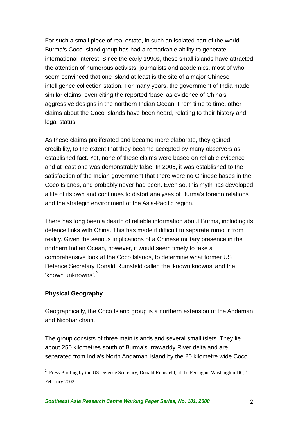For such a small piece of real estate, in such an isolated part of the world, Burma's Coco Island group has had a remarkable ability to generate international interest. Since the early 1990s, these small islands have attracted the attention of numerous activists, journalists and academics, most of who seem convinced that one island at least is the site of a major Chinese intelligence collection station. For many years, the government of India made similar claims, even citing the reported 'base' as evidence of China's aggressive designs in the northern Indian Ocean. From time to time, other claims about the Coco Islands have been heard, relating to their history and legal status.

As these claims proliferated and became more elaborate, they gained credibility, to the extent that they became accepted by many observers as established fact. Yet, none of these claims were based on reliable evidence and at least one was demonstrably false. In 2005, it was established to the satisfaction of the Indian government that there were no Chinese bases in the Coco Islands, and probably never had been. Even so, this myth has developed a life of its own and continues to distort analyses of Burma's foreign relations and the strategic environment of the Asia-Pacific region.

There has long been a dearth of reliable information about Burma, including its defence links with China. This has made it difficult to separate rumour from reality. Given the serious implications of a Chinese military presence in the northern Indian Ocean, however, it would seem timely to take a comprehensive look at the Coco Islands, to determine what former US Defence Secretary Donald Rumsfeld called the 'known knowns' and the 'known unknowns'.<sup>2</sup>

### **Physical Geography**

 $\overline{a}$ 

Geographically, the Coco Island group is a northern extension of the Andaman and Nicobar chain.

The group consists of three main islands and several small islets. They lie about 250 kilometres south of Burma's Irrawaddy River delta and are separated from India's North Andaman Island by the 20 kilometre wide Coco

 $2$  Press Briefing by the US Defence Secretary, Donald Rumsfeld, at the Pentagon, Washington DC, 12 February 2002.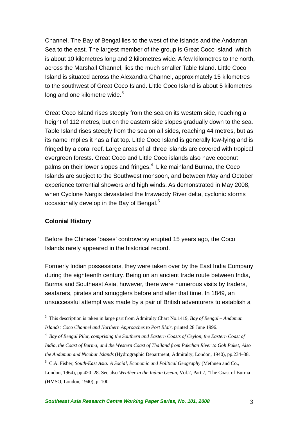Channel. The Bay of Bengal lies to the west of the islands and the Andaman Sea to the east. The largest member of the group is Great Coco Island, which is about 10 kilometres long and 2 kilometres wide. A few kilometres to the north, across the Marshall Channel, lies the much smaller Table Island. Little Coco Island is situated across the Alexandra Channel, approximately 15 kilometres to the southwest of Great Coco Island. Little Coco Island is about 5 kilometres long and one kilometre wide. $3$ 

Great Coco Island rises steeply from the sea on its western side, reaching a height of 112 metres, but on the eastern side slopes gradually down to the sea. Table Island rises steeply from the sea on all sides, reaching 44 metres, but as its name implies it has a flat top. Little Coco Island is generally low-lying and is fringed by a coral reef. Large areas of all three islands are covered with tropical evergreen forests. Great Coco and Little Coco islands also have coconut palms on their lower slopes and fringes.<sup>4</sup> Like mainland Burma, the Coco Islands are subject to the Southwest monsoon, and between May and October experience torrential showers and high winds. As demonstrated in May 2008, when Cyclone Nargis devastated the Irrawaddy River delta, cyclonic storms occasionally develop in the Bay of Bengal. $5$ 

### **Colonial History**

 $\overline{a}$ 

Before the Chinese 'bases' controversy erupted 15 years ago, the Coco Islands rarely appeared in the historical record.

Formerly Indian possessions, they were taken over by the East India Company during the eighteenth century. Being on an ancient trade route between India, Burma and Southeast Asia, however, there were numerous visits by traders, seafarers, pirates and smugglers before and after that time. In 1849, an unsuccessful attempt was made by a pair of British adventurers to establish a

5 C.A. Fisher, *South-East Asia: A Social, Economic and Political Geography* (Methuen and Co.,

<sup>3</sup> This description is taken in large part from Admiralty Chart No.1419, *Bay of Bengal – Andaman Islands: Coco Channel and Northern Approaches to Port Blair*, printed 28 June 1996.

<sup>4</sup> *Bay of Bengal Pilot, comprising the Southern and Eastern Coasts of Ceylon, the Eastern Coast of India, the Coast of Burma, and the Western Coast of Thailand from Pakchan River to Goh Puket; Also the Andaman and Nicobar Islands* (Hydrographic Department, Admiralty, London, 1940), pp.234–38.

London, 1964), pp.420–28. See also *Weather in the Indian Ocean*, Vol.2, Part 7, 'The Coast of Burma' (HMSO, London, 1940), p. 100.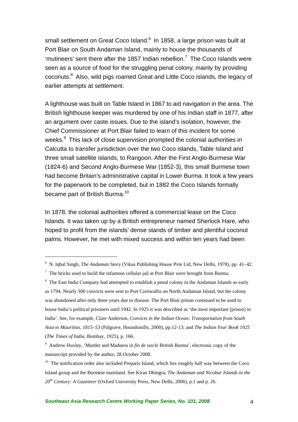small settlement on Great Coco Island.<sup>6</sup> In 1858, a large prison was built at Port Blair on South Andaman Island, mainly to house the thousands of 'mutineers' sent there after the 1857 Indian rebellion.<sup>7</sup> The Coco Islands were seen as a source of food for the struggling penal colony, mainly by providing coconuts.<sup>8</sup> Also, wild pigs roamed Great and Little Coco islands, the legacy of earlier attempts at settlement.

A lighthouse was built on Table Island in 1867 to aid navigation in the area. The British lighthouse keeper was murdered by one of his Indian staff in 1877, after an argument over caste issues. Due to the island's isolation, however, the Chief Commissioner at Port Blair failed to learn of this incident for some weeks.<sup>9</sup> This lack of close supervision prompted the colonial authorities in Calcutta to transfer jurisdiction over the two Coco islands, Table Island and three small satellite islands, to Rangoon. After the First Anglo-Burmese War (1824-6) and Second Anglo-Burmese War (1852-3), this small Burmese town had become Britain's administrative capital in Lower Burma. It took a few years for the paperwork to be completed, but in 1882 the Coco Islands formally became part of British Burma.<sup>10</sup>

In 1878, the colonial authorities offered a commercial lease on the Coco Islands. It was taken up by a British entrepreneur named Sherlock Hare, who hoped to profit from the islands' dense stands of timber and plentiful coconut palms. However, he met with mixed success and within ten years had been

 $\overline{a}$ 

<sup>8</sup> The East India Company had attempted to establish a penal colony in the Andaman Islands as early as 1794. Nearly 300 convicts were sent to Port Cornwallis on North Andaman Island, but the colony was abandoned after only three years due to disease. The Port Blair prison continued to be used to house India's political prisoners until 1942. In 1925 it was described as 'the most important [prison] in India'. See, for example, Clare Anderson, *Convicts in the Indian Ocean: Transportation from South Asia to Mauritius, 1815–53* (Palgrave, Houndsmills, 2000), pp.12-13; and *The Indian Year Book 1925* (*The Times of India*, Bombay, 1925), p. 166.

<sup>6</sup> N. Iqbal Singh, *The Andaman Story* (Vikas Publishing House Pvte Ltd, New Delhi, 1978), pp. 41–42.

 $<sup>7</sup>$  The bricks used to build the infamous cellular jail at Port Blair were brought from Burma.</sup>

<sup>9</sup> Andrew Huxley, 'Murder and Madness in *fin de siecle* British Burma', electronic copy of the manuscript provided by the author, 28 October 2008.

<sup>&</sup>lt;sup>10</sup> The notification order also included Preparis Island, which lies roughly half way between the Coco Island group and the Burmese mainland. See Kiran Dhingra, *The Andaman and Nicobar Islands in the 20th Century: A Gazetteer* (Oxford University Press, New Delhi, 2006), p.1 and p. 26.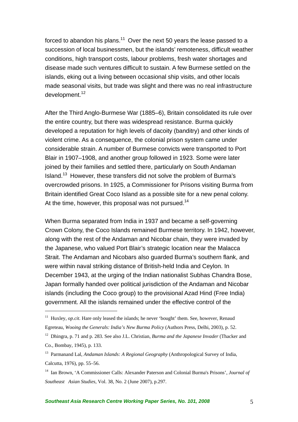forced to abandon his plans.<sup>11</sup> Over the next 50 years the lease passed to a succession of local businessmen, but the islands' remoteness, difficult weather conditions, high transport costs, labour problems, fresh water shortages and disease made such ventures difficult to sustain. A few Burmese settled on the islands, eking out a living between occasional ship visits, and other locals made seasonal visits, but trade was slight and there was no real infrastructure development.<sup>12</sup>

After the Third Anglo-Burmese War (1885–6), Britain consolidated its rule over the entire country, but there was widespread resistance. Burma quickly developed a reputation for high levels of dacoity (banditry) and other kinds of violent crime. As a consequence, the colonial prison system came under considerable strain. A number of Burmese convicts were transported to Port Blair in 1907–1908, and another group followed in 1923. Some were later joined by their families and settled there, particularly on South Andaman Island.13 However, these transfers did not solve the problem of Burma's overcrowded prisons. In 1925, a Commissioner for Prisons visiting Burma from Britain identified Great Coco Island as a possible site for a new penal colony. At the time, however, this proposal was not pursued.<sup>14</sup>

When Burma separated from India in 1937 and became a self-governing Crown Colony, the Coco Islands remained Burmese territory. In 1942, however, along with the rest of the Andaman and Nicobar chain, they were invaded by the Japanese, who valued Port Blair's strategic location near the Malacca Strait. The Andaman and Nicobars also guarded Burma's southern flank, and were within naval striking distance of British-held India and Ceylon. In December 1943, at the urging of the Indian nationalist Subhas Chandra Bose, Japan formally handed over political jurisdiction of the Andaman and Nicobar islands (including the Coco group) to the provisional Azad Hind (Free India) government. All the islands remained under the effective control of the

<sup>&</sup>lt;sup>11</sup> Huxley, *op.cit*. Hare only leased the islands; he never 'bought' them. See, however, Renaud Egreteau, *Wooing the Generals: India's New Burma Policy* (Authors Press, Delhi, 2003), p. 52.

<sup>12</sup> Dhingra, p. 71 and p. 283. See also J.L. Christian, *Burma and the Japanese Invader* (Thacker and Co., Bombay, 1945), p. 133.

<sup>13</sup> Parmanand Lal, *Andaman Islands: A Regional Geography* (Anthropological Survey of India, Calcutta, 1976), pp. 55–56.

<sup>14</sup> Ian Brown, 'A Commissioner Calls: Alexander Paterson and Colonial Burma's Prisons', *Journal of Southeast Asian Studies*, Vol. 38, No. 2 (June 2007), p.297.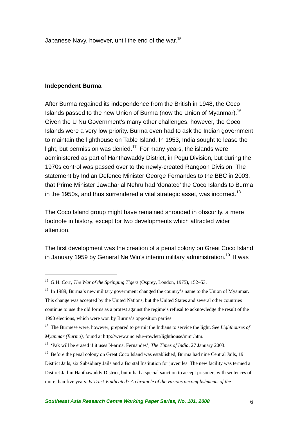Japanese Navy, however, until the end of the war.<sup>15</sup>

#### **Independent Burma**

 $\overline{a}$ 

After Burma regained its independence from the British in 1948, the Coco Islands passed to the new Union of Burma (now the Union of Myanmar).16 Given the U Nu Government's many other challenges, however, the Coco Islands were a very low priority. Burma even had to ask the Indian government to maintain the lighthouse on Table Island. In 1953, India sought to lease the light, but permission was denied.<sup>17</sup> For many years, the islands were administered as part of Hanthawaddy District, in Pegu Division, but during the 1970s control was passed over to the newly-created Rangoon Division. The statement by Indian Defence Minister George Fernandes to the BBC in 2003, that Prime Minister Jawaharlal Nehru had 'donated' the Coco Islands to Burma in the 1950s, and thus surrendered a vital strategic asset, was incorrect.<sup>18</sup>

The Coco Island group might have remained shrouded in obscurity, a mere footnote in history, except for two developments which attracted wider attention.

The first development was the creation of a penal colony on Great Coco Island in January 1959 by General Ne Win's interim military administration.<sup>19</sup> It was

<sup>15</sup> G.H. Corr, *The War of the Springing Tigers* (Osprey, London, 1975), 152–53.

<sup>&</sup>lt;sup>16</sup> In 1989, Burma's new military government changed the country's name to the Union of Myanmar. This change was accepted by the United Nations, but the United States and several other countries continue to use the old forms as a protest against the regime's refusal to acknowledge the result of the 1990 elections, which were won by Burma's opposition parties.

<sup>17</sup> The Burmese were, however, prepared to permit the Indians to service the light. See *Lighthouses of Myanmar (Burma)*, found at http://www.unc.edu/-rowlett/lighthouse/mmr.htm.

<sup>18 &#</sup>x27;Pak will be erased if it uses N-arms: Fernandes', *The Times of India*, 27 January 2003.

<sup>&</sup>lt;sup>19</sup> Before the penal colony on Great Coco Island was established, Burma had nine Central Jails, 19 District Jails, six Subsidiary Jails and a Borstal Institution for juveniles. The new facility was termed a District Jail in Hanthawaddy District, but it had a special sanction to accept prisoners with sentences of more than five years. *Is Trust Vindicated? A chronicle of the various accomplishments of the*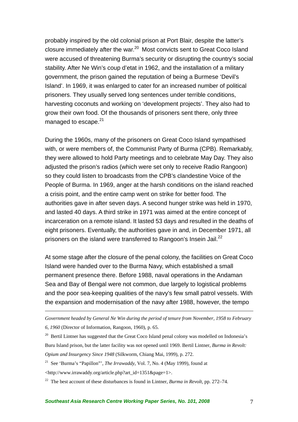probably inspired by the old colonial prison at Port Blair, despite the latter's closure immediately after the war.<sup>20</sup> Most convicts sent to Great Coco Island were accused of threatening Burma's security or disrupting the country's social stability. After Ne Win's coup d'etat in 1962, and the installation of a military government, the prison gained the reputation of being a Burmese 'Devil's Island'. In 1969, it was enlarged to cater for an increased number of political prisoners. They usually served long sentences under terrible conditions, harvesting coconuts and working on 'development projects'. They also had to grow their own food. Of the thousands of prisoners sent there, only three managed to escape.<sup>21</sup>

During the 1960s, many of the prisoners on Great Coco Island sympathised with, or were members of, the Communist Party of Burma (CPB). Remarkably, they were allowed to hold Party meetings and to celebrate May Day. They also adjusted the prison's radios (which were set only to receive Radio Rangoon) so they could listen to broadcasts from the CPB's clandestine Voice of the People of Burma. In 1969, anger at the harsh conditions on the island reached a crisis point, and the entire camp went on strike for better food. The authorities gave in after seven days. A second hunger strike was held in 1970, and lasted 40 days. A third strike in 1971 was aimed at the entire concept of incarceration on a remote island. It lasted 53 days and resulted in the deaths of eight prisoners. Eventually, the authorities gave in and, in December 1971, all prisoners on the island were transferred to Rangoon's Insein Jail.<sup>22</sup>

At some stage after the closure of the penal colony, the facilities on Great Coco Island were handed over to the Burma Navy, which established a small permanent presence there. Before 1988, naval operations in the Andaman Sea and Bay of Bengal were not common, due largely to logistical problems and the poor sea-keeping qualities of the navy's few small patrol vessels. With the expansion and modernisation of the navy after 1988, however, the tempo

*Government headed by General Ne Win during the period of tenure from November, 1958 to February 6, 1960* (Director of Information, Rangoon, 1960), p. 65.

<sup>20</sup> Bertil Lintner has suggested that the Great Coco Island penal colony was modelled on Indonesia's Buru Island prison, but the latter facility was not opened until 1969. Bertil Lintner, *Burma in Revolt: Opium and Insurgency Since 1948* (Silkworm, Chiang Mai, 1999), p. 272.

21 See 'Burma's "Papillon"', *The Irrawaddy*, Vol. 7, No. 4 (May 1999), found at <http://www.irrawaddy.org/article.php?art\_id=1351&page=1>.

1

22 The best account of these disturbances is found in Lintner, *Burma in Revolt*, pp. 272–74.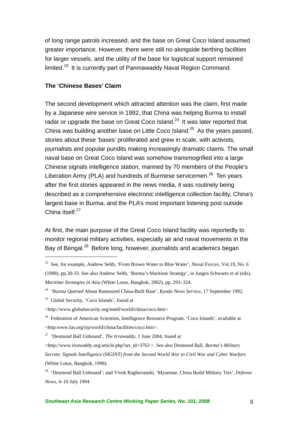of long range patrols increased, and the base on Great Coco Island assumed greater importance. However, there were still no alongside berthing facilities for larger vessels, and the utility of the base for logistical support remained limited.23 It is currently part of Panmawaddy Naval Region Command.

### **The 'Chinese Bases' Claim**

The second development which attracted attention was the claim, first made by a Japanese wire service in 1992, that China was helping Burma to install radar or upgrade the base on Great Coco Island. $24$  It was later reported that China was building another base on Little Coco Island.<sup>25</sup> As the vears passed. stories about these 'bases' proliferated and grew in scale, with activists, journalists and popular pundits making increasingly dramatic claims. The small naval base on Great Coco Island was somehow transmogrified into a large Chinese signals intelligence station, manned by 70 members of the People's Liberation Army (PLA) and hundreds of Burmese servicemen.<sup>26</sup> Ten years after the first stories appeared in the news media, it was routinely being described as a comprehensive electronic intelligence collection facility, China's largest base in Burma, and the PLA's most important listening post outside China itself.27

At first, the main purpose of the Great Coco Island facility was reportedly to monitor regional military activities, especially air and naval movements in the Bay of Bengal.28 Before long, however, journalists and academics began

<sup>23</sup> See, for example, Andrew Selth, 'From Brown Water to Blue Water', *Naval Forces*, Vol.19, No. 6 (1998), pp.30-33. See also Andrew Selth, 'Burma's Maritime Strategy', in Jurgen Schwartz *et al* (eds), *Maritime Strategies in Asia* (White Lotus, Bangkok, 2002), pp. 293–324.

<sup>24 &#</sup>x27;Burma Queried About Rumoured China-Built Base', *Kyodo News Service*, 17 September 1992.

<sup>25</sup> Global Security, 'Coco Islands', found at

<sup>&</sup>lt;http://www.globalsecurity.org/intell/world/china/coco.htm>

<sup>&</sup>lt;sup>26</sup> Federation of American Scientists, Intelligence Resource Program, 'Coco Islands', available at <http:www.fas.org/irp/world/china/facilities/coco.htm>.

<sup>27 &#</sup>x27;Desmond Ball Unbound', *The Irrawaddy*, 1 June 2004, found at

<sup>&</sup>lt;http://www.irrawaddy.org/article.php?art\_id=3763 >. See also Desmond Ball, *Burma's Military Secrets: Signals Intelligence (SIGINT) from the Second World War to Civil War and Cyber Warfare* (White Lotus, Bangkok, 1998).

<sup>28 &#</sup>x27;Desmond Ball Unbound'; and Vivek Raghuvanshi, 'Myanmar, China Build Military Ties', *Defense News*, 4–10 July 1994.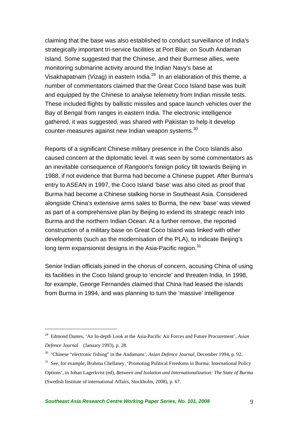claiming that the base was also established to conduct surveillance of India's strategically important tri-service facilities at Port Blair, on South Andaman Island. Some suggested that the Chinese, and their Burmese allies, were monitoring submarine activity around the Indian Navy's base at Visakhapatnam (Vizag) in eastern India.<sup>29</sup> In an elaboration of this theme, a number of commentators claimed that the Great Coco Island base was built and equipped by the Chinese to analyse telemetry from Indian missile tests. These included flights by ballistic missiles and space launch vehicles over the Bay of Bengal from ranges in eastern India. The electronic intelligence gathered, it was suggested, was shared with Pakistan to help it develop counter-measures against new Indian weapon systems.<sup>30</sup>

Reports of a significant Chinese military presence in the Coco Islands also caused concern at the diplomatic level. It was seen by some commentators as an inevitable consequence of Rangoon's foreign policy tilt towards Beijing in 1988, if not evidence that Burma had become a Chinese puppet. After Burma's entry to ASEAN in 1997, the Coco Island 'base' was also cited as proof that Burma had become a Chinese stalking horse in Southeast Asia. Considered alongside China's extensive arms sales to Burma, the new 'base' was viewed as part of a comprehensive plan by Beijing to extend its strategic reach into Burma and the northern Indian Ocean. At a further remove, the reported construction of a military base on Great Coco Island was linked with other developments (such as the modernisation of the PLA), to indicate Beijing's long term expansionist designs in the Asia-Pacific region.<sup>31</sup>

Senior Indian officials joined in the chorus of concern, accusing China of using its facilities in the Coco Island group to 'encircle' and threaten India. In 1998, for example, George Fernandes claimed that China had leased the islands from Burma in 1994, and was planning to turn the 'massive' intelligence

<sup>29</sup> Edmond Dantes, 'An In-depth Look at the Asia-Pacific Air Forces and Future Procurement', *Asian Defence Journal* (January 1993), p. 28.

<sup>30 &#</sup>x27;Chinese "electronic fishing" in the Andamans', *Asian Defence Journal*, December 1994, p. 92.

<sup>&</sup>lt;sup>31</sup> See, for example, Brahma Chellaney, 'Promoting Political Freedoms in Burma: International Policy Options', in Johan Lagerkvist (ed), *Between and Isolation and Internationalization: The State of Burma* (Swedish Institute of international Affairs, Stockholm, 2008), p. 67.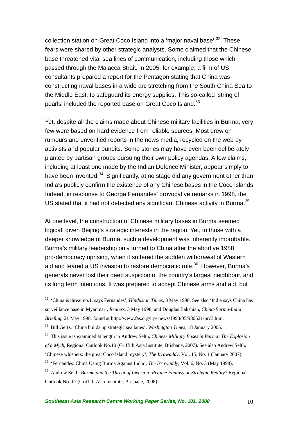collection station on Great Coco Island into a 'major naval base'.<sup>32</sup> These fears were shared by other strategic analysts. Some claimed that the Chinese base threatened vital sea lines of communication, including those which passed through the Malacca Strait. In 2005, for example, a firm of US consultants prepared a report for the Pentagon stating that China was constructing naval bases in a wide arc stretching from the South China Sea to the Middle East, to safeguard its energy supplies. This so-called 'string of pearls' included the reported base on Great Coco Island.<sup>33</sup>

Yet, despite all the claims made about Chinese military facilities in Burma, very few were based on hard evidence from reliable sources. Most drew on rumours and unverified reports in the news media, recycled on the web by activists and popular pundits. Some stories may have even been deliberately planted by partisan groups pursuing their own policy agendas. A few claims, including at least one made by the Indian Defence Minister, appear simply to have been invented.<sup>34</sup> Significantly, at no stage did any government other than India's publicly confirm the existence of any Chinese bases in the Coco Islands. Indeed, in response to George Fernandes' provocative remarks in 1998, the US stated that it had not detected any significant Chinese activity in Burma.<sup>35</sup>

At one level, the construction of Chinese military bases in Burma seemed logical, given Beijing's strategic interests in the region. Yet, to those with a deeper knowledge of Burma, such a development was inherently improbable. Burma's military leadership only turned to China after the abortive 1988 pro-democracy uprising, when it suffered the sudden withdrawal of Western aid and feared a US invasion to restore democratic rule.<sup>36</sup> However, Burma's generals never lost their deep suspicion of the country's largest neighbour, and its long term intentions. It was prepared to accept Chinese arms and aid, but

<sup>32 &#</sup>x27;China is threat no.1, says Fernandes', *Hindustan Times*, 3 May 1998. See also 'India says China has surveillance base in Myanmar', *Reuters*, 3 May 1998, and Douglas Bakshian, *China-Burma-India Briefing*, 21 May 1998, found at http://www.fas.org/irp/ news/1998/05/980521-prc3.htm.

<sup>33</sup> Bill Gertz, 'China builds up strategic sea lanes', *Washington Times*, 18 January 2005.

<sup>34</sup> This issue is examined at length in Andrew Selth, *Chinese Military Bases in Burma: The Explosion of a Myth*, Regional Outlook No.10 (Griffith Asia Institute, Brisbane, 2007). See also Andrew Selth, 'Chinese whispers: the great Coco Island mystery', *The Irrawaddy*, Vol. 15, No. 1 (January 2007).

<sup>35 &#</sup>x27;Fernandes: China Using Burma Against India', *The Irrawaddy*, Vol. 6, No. 3 (May 1998).

<sup>36</sup> Andrew Selth, *Burma and the Threat of Invasion: Regime Fantasy or Strategic Reality?* Regional Outlook No. 17 (Griffith Asia Institute, Brisbane, 2008).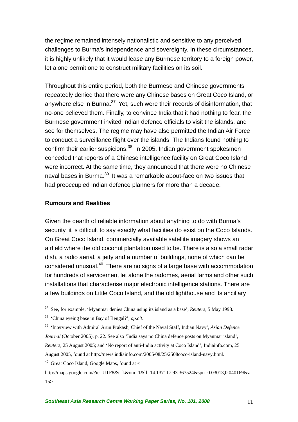the regime remained intensely nationalistic and sensitive to any perceived challenges to Burma's independence and sovereignty. In these circumstances, it is highly unlikely that it would lease any Burmese territory to a foreign power, let alone permit one to construct military facilities on its soil.

Throughout this entire period, both the Burmese and Chinese governments repeatedly denied that there were any Chinese bases on Great Coco Island, or anywhere else in Burma. $37$  Yet, such were their records of disinformation, that no-one believed them. Finally, to convince India that it had nothing to fear, the Burmese government invited Indian defence officials to visit the islands, and see for themselves. The regime may have also permitted the Indian Air Force to conduct a surveillance flight over the islands. The Indians found nothing to confirm their earlier suspicions.<sup>38</sup> In 2005, Indian government spokesmen conceded that reports of a Chinese intelligence facility on Great Coco Island were incorrect. At the same time, they announced that there were no Chinese naval bases in Burma.<sup>39</sup> It was a remarkable about-face on two issues that had preoccupied Indian defence planners for more than a decade.

### **Rumours and Realities**

 $\overline{a}$ 

Given the dearth of reliable information about anything to do with Burma's security, it is difficult to say exactly what facilities do exist on the Coco Islands. On Great Coco Island, commercially available satellite imagery shows an airfield where the old coconut plantation used to be. There is also a small radar dish, a radio aerial, a jetty and a number of buildings, none of which can be considered unusual.40 There are no signs of a large base with accommodation for hundreds of servicemen, let alone the radomes, aerial farms and other such installations that characterise major electronic intelligence stations. There are a few buildings on Little Coco Island, and the old lighthouse and its ancillary

<sup>37</sup> See, for example, 'Myanmar denies China using its island as a base', *Reuters*, 5 May 1998.

<sup>38 &#</sup>x27;China eyeing base in Bay of Bengal?', *op.cit*.

<sup>39 &#</sup>x27;Interview with Admiral Arun Prakash, Chief of the Naval Staff, Indian Navy', *Asian Defence Journal* (October 2005), p. 22. See also 'India says no China defence posts on Myanmar island', *Reuters*, 25 August 2005; and 'No report of anti-India activity at Coco Island', Indiainfo.com, 25 August 2005, found at http://news.indiainfo.com/2005/08/25/2508coco-island-navy.html. <sup>40</sup> Great Coco Island, Google Maps, found at  $<$ 

http://maps.google.com/?ie=UTF8&t=k&om=1&ll=14.137117,93.367524&spn=0.03013,0.040169&z=  $15>$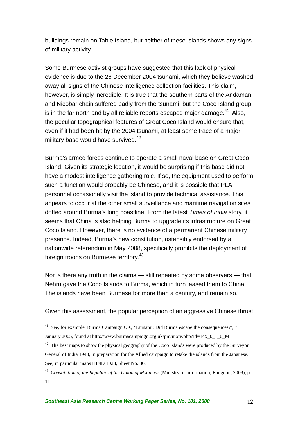buildings remain on Table Island, but neither of these islands shows any signs of military activity.

Some Burmese activist groups have suggested that this lack of physical evidence is due to the 26 December 2004 tsunami, which they believe washed away all signs of the Chinese intelligence collection facilities. This claim, however, is simply incredible. It is true that the southern parts of the Andaman and Nicobar chain suffered badly from the tsunami, but the Coco Island group is in the far north and by all reliable reports escaped major damage. $41$  Also, the peculiar topographical features of Great Coco Island would ensure that, even if it had been hit by the 2004 tsunami, at least some trace of a major military base would have survived. $42$ 

Burma's armed forces continue to operate a small naval base on Great Coco Island. Given its strategic location, it would be surprising if this base did not have a modest intelligence gathering role. If so, the equipment used to perform such a function would probably be Chinese, and it is possible that PLA personnel occasionally visit the island to provide technical assistance. This appears to occur at the other small surveillance and maritime navigation sites dotted around Burma's long coastline. From the latest *Times of India* story, it seems that China is also helping Burma to upgrade its infrastructure on Great Coco Island. However, there is no evidence of a permanent Chinese military presence. Indeed, Burma's new constitution, ostensibly endorsed by a nationwide referendum in May 2008, specifically prohibits the deployment of foreign troops on Burmese territory.<sup>43</sup>

Nor is there any truth in the claims — still repeated by some observers — that Nehru gave the Coco Islands to Burma, which in turn leased them to China. The islands have been Burmese for more than a century, and remain so.

Given this assessment, the popular perception of an aggressive Chinese thrust

<sup>&</sup>lt;sup>41</sup> See, for example, Burma Campaign UK, 'Tsunami: Did Burma escape the consequences?', 7 January 2005, found at http://www.burmacampaign.org.uk/pm/more.php?id=149\_0\_1\_0\_M.

<sup>&</sup>lt;sup>42</sup> The best maps to show the physical geography of the Coco Islands were produced by the Surveyor General of India 1943, in preparation for the Allied campaign to retake the islands from the Japanese. See, in particular maps HIND 1023, Sheet No. 86.

<sup>43</sup> *Constitution of the Republic of the Union of Myanmar* (Ministry of Information, Rangoon, 2008), p. 11.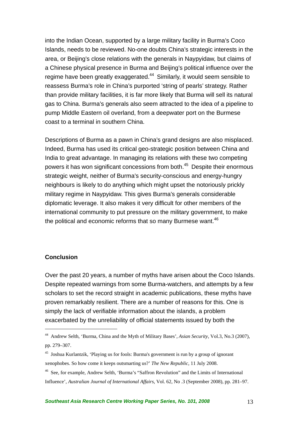into the Indian Ocean, supported by a large military facility in Burma's Coco Islands, needs to be reviewed. No-one doubts China's strategic interests in the area, or Beijing's close relations with the generals in Naypyidaw, but claims of a Chinese physical presence in Burma and Beijing's political influence over the regime have been greatly exaggerated.<sup>44</sup> Similarly, it would seem sensible to reassess Burma's role in China's purported 'string of pearls' strategy. Rather than provide military facilities, it is far more likely that Burma will sell its natural gas to China. Burma's generals also seem attracted to the idea of a pipeline to pump Middle Eastern oil overland, from a deepwater port on the Burmese coast to a terminal in southern China.

Descriptions of Burma as a pawn in China's grand designs are also misplaced. Indeed, Burma has used its critical geo-strategic position between China and India to great advantage. In managing its relations with these two competing powers it has won significant concessions from both.45 Despite their enormous strategic weight, neither of Burma's security-conscious and energy-hungry neighbours is likely to do anything which might upset the notoriously prickly military regime in Naypyidaw. This gives Burma's generals considerable diplomatic leverage. It also makes it very difficult for other members of the international community to put pressure on the military government, to make the political and economic reforms that so many Burmese want.<sup>46</sup>

### **Conclusion**

 $\overline{a}$ 

Over the past 20 years, a number of myths have arisen about the Coco Islands. Despite repeated warnings from some Burma-watchers, and attempts by a few scholars to set the record straight in academic publications, these myths have proven remarkably resilient. There are a number of reasons for this. One is simply the lack of verifiable information about the islands, a problem exacerbated by the unreliability of official statements issued by both the

<sup>44</sup> Andrew Selth, 'Burma, China and the Myth of Military Bases', *Asian Security*, Vol.3, No.3 (2007), pp. 279–307.

<sup>45</sup> Joshua Kurlantzik, 'Playing us for fools: Burma's government is run by a group of ignorant xenophobes. So how come it keeps outsmarting us?' *The New Republic*, 11 July 2008.

<sup>46</sup> See, for example, Andrew Selth, 'Burma's "Saffron Revolution" and the Limits of International Influence', *Australian Journal of International Affairs*, Vol. 62, No .3 (September 2008), pp. 281–97.